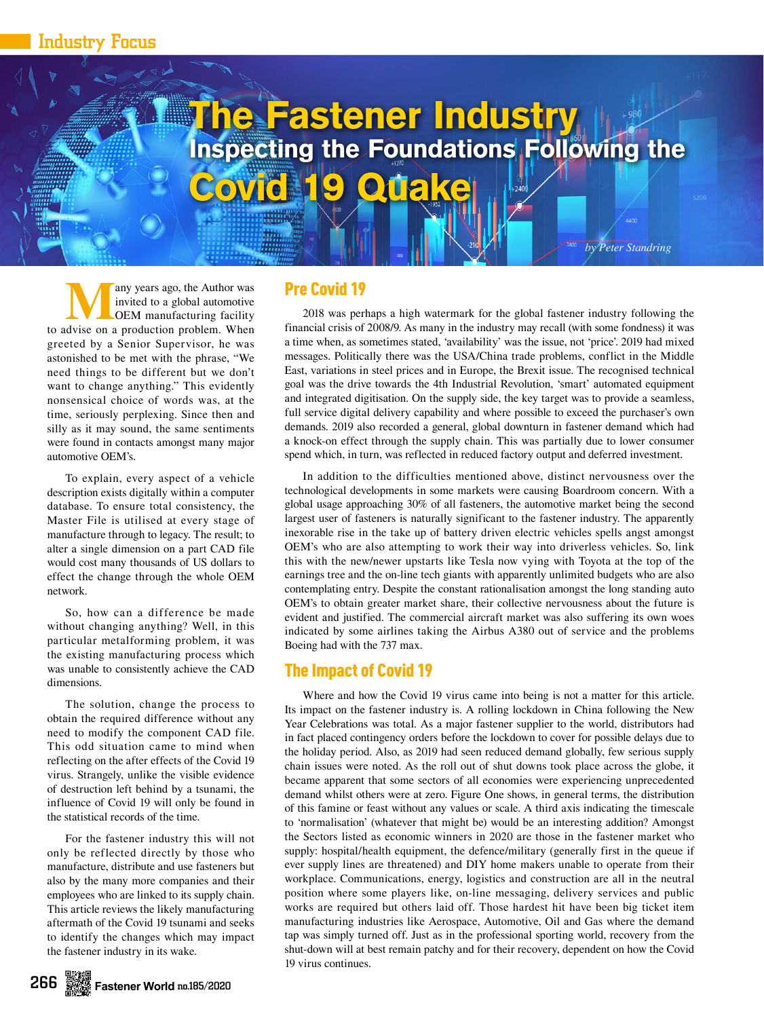# The Fastener Industry Inspecting the Foundations Following the COVICE19 C

**Many years ago, the Author was<br>
invited to a global automotive<br>
OEM manufacturing facility<br>
Nikan<br>
When<br>
When<br>
When<br>
When** invited to a global automotive to advise on a production problem. When greeted by a Senior Supervisor, he was astonished to be met with the phrase, "We need things to be different but we don't want to change anything." This evidently nonsensical choice of words was, at the time, seriously perplexing. Since then and silly as it may sound, the same sentiments were found in contacts amongst many major automotive OEM's.

To explain, every aspect of a vehicle description exists digitally within a computer database. To ensure total consistency, the Master File is utilised at every stage of manufacture through to legacy. The result; to alter a single dimension on a part CAD file would cost many thousands of US dollars to effect the change through the whole OEM network.

So, how can a difference be made without changing anything? Well, in this particular metalforming problem, it was the existing manufacturing process which was unable to consistently achieve the CAD dimensions.

The solution, change the process to obtain the required difference without any need to modify the component CAD file. This odd situation came to mind when reflecting on the after effects of the Covid 19 virus. Strangely, unlike the visible evidence of destruction left behind by a tsunami, the influence of Covid 19 will only be found in the statistical records of the time.

For the fastener industry this will not only be reflected directly by those who manufacture, distribute and use fasteners but also by the many more companies and their employees who are linked to its supply chain. This article reviews the likely manufacturing aftermath of the Covid 19 tsunami and seeks to identify the changes which may impact the fastener industry in its wake.

### Pre Covid 19

2018 was perhaps a high watermark for the global fastener industry following the financial crisis of 2008/9. As many in the industry may recall (with some fondness) it was a time when, as sometimes stated, 'availability' was the issue, not 'price'. 2019 had mixed messages. Politically there was the USA/China trade problems, conflict in the Middle East, variations in steel prices and in Europe, the Brexit issue. The recognised technical goal was the drive towards the 4th Industrial Revolution, 'smart' automated equipment and integrated digitisation. On the supply side, the key target was to provide a seamless, full service digital delivery capability and where possible to exceed the purchaser's own demands. 2019 also recorded a general, global downturn in fastener demand which had a knock-on effect through the supply chain. This was partially due to lower consumer spend which, in turn, was reflected in reduced factory output and deferred investment.

*by Peter Standring*

In addition to the difficulties mentioned above, distinct nervousness over the technological developments in some markets were causing Boardroom concern. With a global usage approaching 30% of all fasteners, the automotive market being the second largest user of fasteners is naturally significant to the fastener industry. The apparently inexorable rise in the take up of battery driven electric vehicles spells angst amongst OEM's who are also attempting to work their way into driverless vehicles. So, link this with the new/newer upstarts like Tesla now vying with Toyota at the top of the earnings tree and the on-line tech giants with apparently unlimited budgets who are also contemplating entry. Despite the constant rationalisation amongst the long standing auto OEM's to obtain greater market share, their collective nervousness about the future is evident and justified. The commercial aircraft market was also suffering its own woes indicated by some airlines taking the Airbus A380 out of service and the problems Boeing had with the 737 max.

#### The Impact of Covid 19

Where and how the Covid 19 virus came into being is not a matter for this article. Its impact on the fastener industry is. A rolling lockdown in China following the New Year Celebrations was total. As a major fastener supplier to the world, distributors had in fact placed contingency orders before the lockdown to cover for possible delays due to the holiday period. Also, as 2019 had seen reduced demand globally, few serious supply chain issues were noted. As the roll out of shut downs took place across the globe, it became apparent that some sectors of all economies were experiencing unprecedented demand whilst others were at zero. Figure One shows, in general terms, the distribution of this famine or feast without any values or scale. A third axis indicating the timescale to 'normalisation' (whatever that might be) would be an interesting addition? Amongst the Sectors listed as economic winners in 2020 are those in the fastener market who supply: hospital/health equipment, the defence/military (generally first in the queue if ever supply lines are threatened) and DIY home makers unable to operate from their workplace. Communications, energy, logistics and construction are all in the neutral position where some players like, on-line messaging, delivery services and public works are required but others laid off. Those hardest hit have been big ticket item manufacturing industries like Aerospace, Automotive, Oil and Gas where the demand tap was simply turned off. Just as in the professional sporting world, recovery from the shut-down will at best remain patchy and for their recovery, dependent on how the Covid 19 virus continues.